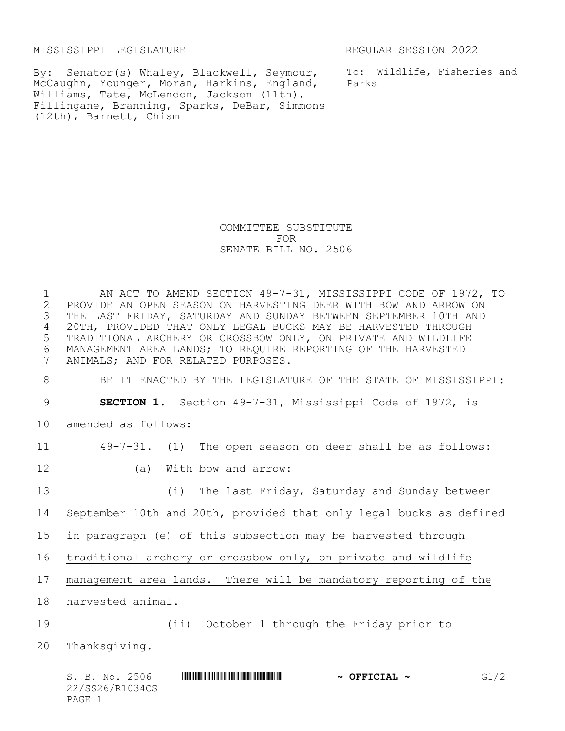MISSISSIPPI LEGISLATURE REGULAR SESSION 2022

By: Senator(s) Whaley, Blackwell, Seymour, McCaughn, Younger, Moran, Harkins, England, Williams, Tate, McLendon, Jackson (11th), Fillingane, Branning, Sparks, DeBar, Simmons (12th), Barnett, Chism

To: Wildlife, Fisheries and Parks

## COMMITTEE SUBSTITUTE FOR SENATE BILL NO. 2506

 AN ACT TO AMEND SECTION 49-7-31, MISSISSIPPI CODE OF 1972, TO 2 PROVIDE AN OPEN SEASON ON HARVESTING DEER WITH BOW AND ARROW ON<br>3 THE LAST FRIDAY, SATURDAY AND SUNDAY BETWEEN SEPTEMBER 10TH AND THE LAST FRIDAY, SATURDAY AND SUNDAY BETWEEN SEPTEMBER 10TH AND 20TH, PROVIDED THAT ONLY LEGAL BUCKS MAY BE HARVESTED THROUGH TRADITIONAL ARCHERY OR CROSSBOW ONLY, ON PRIVATE AND WILDLIFE 6 MANAGEMENT AREA LANDS; TO REQUIRE REPORTING OF THE HARVESTED<br>7 ANIMALS; AND FOR RELATED PURPOSES. ANIMALS; AND FOR RELATED PURPOSES. BE IT ENACTED BY THE LEGISLATURE OF THE STATE OF MISSISSIPPI: **SECTION 1.** Section 49-7-31, Mississippi Code of 1972, is amended as follows: 49-7-31. (1) The open season on deer shall be as follows: (a) With bow and arrow: 13 (i) The last Friday, Saturday and Sunday between September 10th and 20th, provided that only legal bucks as defined in paragraph (e) of this subsection may be harvested through traditional archery or crossbow only, on private and wildlife management area lands. There will be mandatory reporting of the harvested animal. (ii) October 1 through the Friday prior to Thanksgiving.

|        | S. B. No. 2506  |  | $\sim$ OFFICIAL $\sim$ | G1/2 |
|--------|-----------------|--|------------------------|------|
|        | 22/SS26/R1034CS |  |                        |      |
| PAGE 1 |                 |  |                        |      |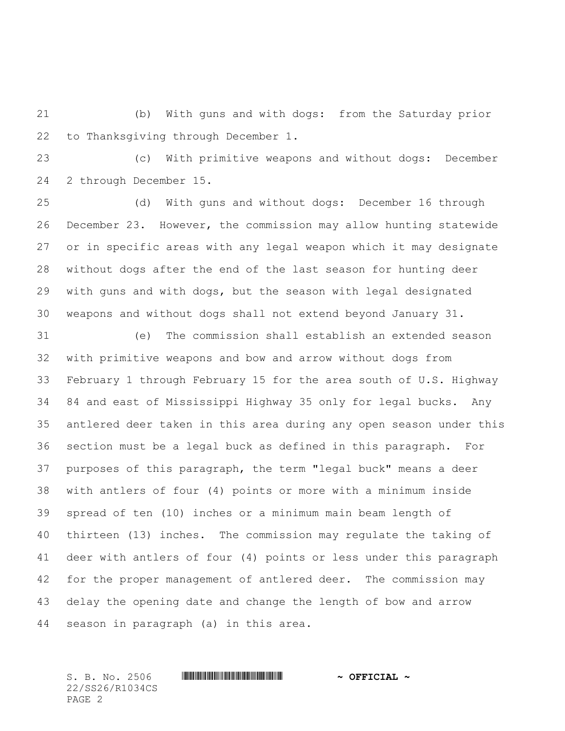(b) With guns and with dogs: from the Saturday prior to Thanksgiving through December 1.

 (c) With primitive weapons and without dogs: December 2 through December 15.

 (d) With guns and without dogs: December 16 through December 23. However, the commission may allow hunting statewide or in specific areas with any legal weapon which it may designate without dogs after the end of the last season for hunting deer with guns and with dogs, but the season with legal designated weapons and without dogs shall not extend beyond January 31.

 (e) The commission shall establish an extended season with primitive weapons and bow and arrow without dogs from February 1 through February 15 for the area south of U.S. Highway 84 and east of Mississippi Highway 35 only for legal bucks. Any antlered deer taken in this area during any open season under this section must be a legal buck as defined in this paragraph. For purposes of this paragraph, the term "legal buck" means a deer with antlers of four (4) points or more with a minimum inside spread of ten (10) inches or a minimum main beam length of thirteen (13) inches. The commission may regulate the taking of deer with antlers of four (4) points or less under this paragraph for the proper management of antlered deer. The commission may delay the opening date and change the length of bow and arrow season in paragraph (a) in this area.

S. B. No. 2506 \*SS26/R1034CS\* **~ OFFICIAL ~** 22/SS26/R1034CS PAGE 2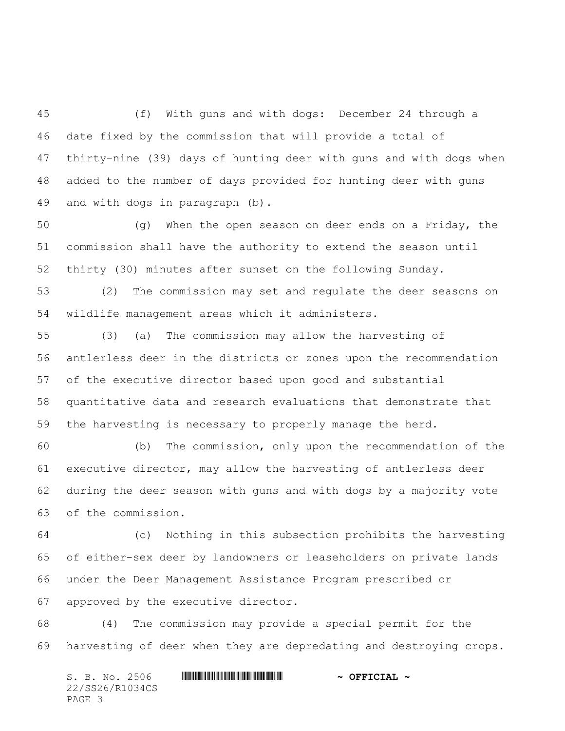(f) With guns and with dogs: December 24 through a date fixed by the commission that will provide a total of thirty-nine (39) days of hunting deer with guns and with dogs when added to the number of days provided for hunting deer with guns and with dogs in paragraph (b).

 (g) When the open season on deer ends on a Friday, the commission shall have the authority to extend the season until thirty (30) minutes after sunset on the following Sunday.

 (2) The commission may set and regulate the deer seasons on wildlife management areas which it administers.

 (3) (a) The commission may allow the harvesting of antlerless deer in the districts or zones upon the recommendation of the executive director based upon good and substantial quantitative data and research evaluations that demonstrate that the harvesting is necessary to properly manage the herd.

 (b) The commission, only upon the recommendation of the executive director, may allow the harvesting of antlerless deer during the deer season with guns and with dogs by a majority vote of the commission.

 (c) Nothing in this subsection prohibits the harvesting of either-sex deer by landowners or leaseholders on private lands under the Deer Management Assistance Program prescribed or approved by the executive director.

 (4) The commission may provide a special permit for the harvesting of deer when they are depredating and destroying crops.

S. B. No. 2506 \*SS26/R1034CS\* **~ OFFICIAL ~** 22/SS26/R1034CS PAGE 3